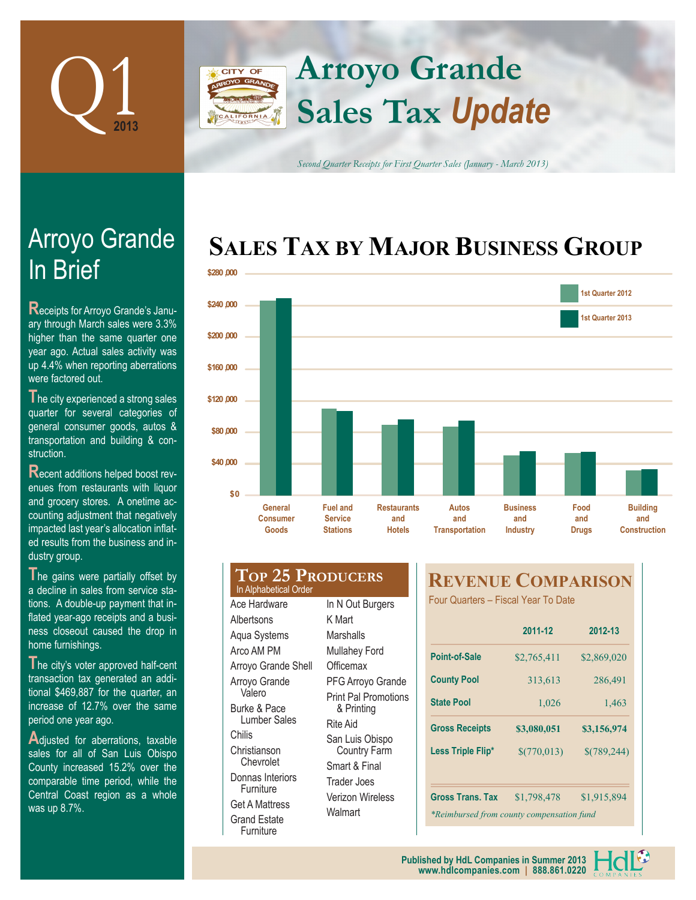

## **Arroyo Grande** CITY OF **Sales Tax** *Update*

*Second Quarter Receipts for First Quarter Sales (January - March 2013)*

# **SALES TAX BY MAJOR BUSINESS GROUP**



# **In Brief** Arroyo Grande

**R**eceipts for Arroyo Grande's January through March sales were 3.3% higher than the same quarter one year ago. Actual sales activity was up 4.4% when reporting aberrations were factored out.

**T**he city experienced a strong sales quarter for several categories of general consumer goods, autos & transportation and building & construction.

**R**ecent additions helped boost revenues from restaurants with liquor and grocery stores. A onetime accounting adjustment that negatively impacted last year's allocation inflated results from the business and industry group.

The gains were partially offset by a decline in sales from service stations. A double-up payment that inflated year-ago receipts and a business closeout caused the drop in home furnishings.

The city's voter approved half-cent transaction tax generated an additional \$469,887 for the quarter, an increase of 12.7% over the same period one year ago.

Adjusted for aberrations, taxable sales for all of San Luis Obispo County increased 15.2% over the comparable time period, while the Central Coast region as a whole was up 8.7%.

#### **Top 25 Producers** In Alphabetical Order Ace Hardware Albertsons Aqua Systems Arco AM PM Arroyo Grande Shell Arroyo Grande Valero Burke & Pace In N Out Burgers K Mart **Marshalls** Mullahey Ford **Officemax** PFG Arroyo Grande Print Pal Promotions & Printing

Lumber Sales Donnas Interiors Get A Mattress Rite Aid San Luis Obispo Country Farm Smart & Final Trader Joes Verizon Wireless **Walmart** 

Chilis Christianson **Chevrolet** 

Furniture

Grand Estate Furniture

### **REVENUE COMPARISON**

Four Quarters – Fiscal Year To Date

|                                           | 2011-12     | 2012-13     |  |  |  |  |
|-------------------------------------------|-------------|-------------|--|--|--|--|
| Point-of-Sale                             | \$2,765,411 | \$2,869,020 |  |  |  |  |
| <b>County Pool</b>                        | 313,613     | 286,491     |  |  |  |  |
| <b>State Pool</b>                         | 1,026       | 1,463       |  |  |  |  |
| <b>Gross Receipts</b>                     | \$3,080,051 | \$3,156,974 |  |  |  |  |
| Less Triple Flip*                         | \$(770,013) | \$(789,244) |  |  |  |  |
|                                           |             |             |  |  |  |  |
| <b>Gross Trans. Tax</b>                   | \$1,798,478 | \$1,915,894 |  |  |  |  |
| *Reimbursed from county compensation fund |             |             |  |  |  |  |